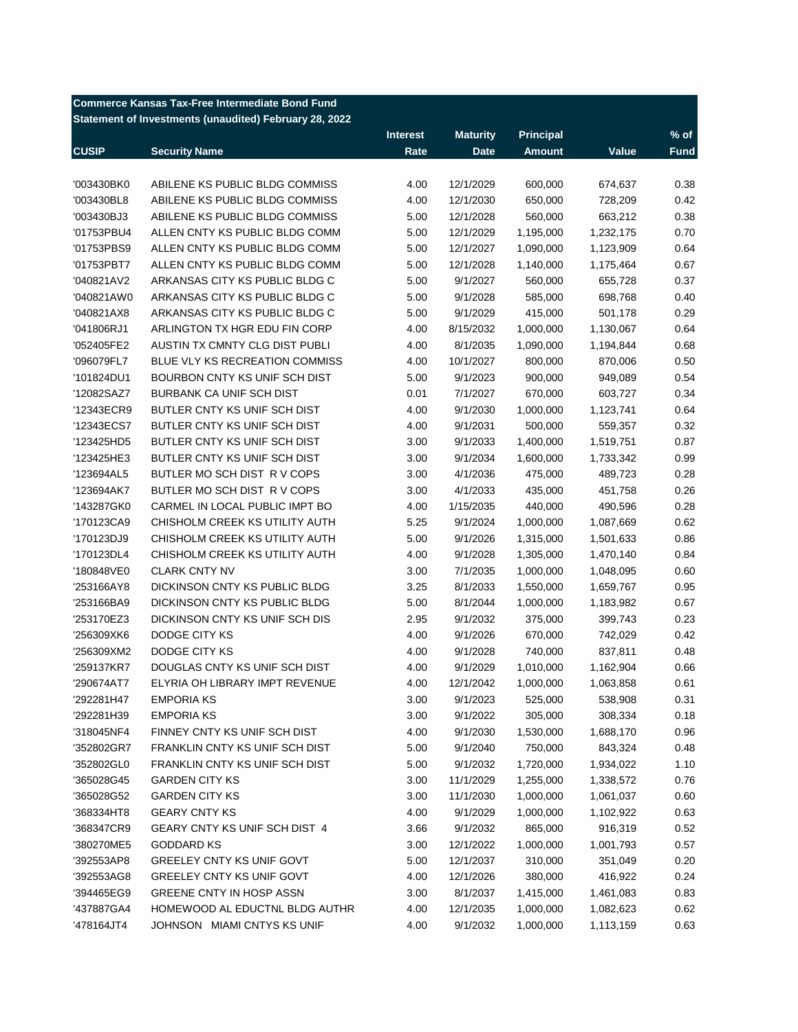| <b>Commerce Kansas Tax-Free Intermediate Bond Fund</b><br>Statement of Investments (unaudited) February 28, 2022 |                                 |                 |                 |                  |           |        |  |
|------------------------------------------------------------------------------------------------------------------|---------------------------------|-----------------|-----------------|------------------|-----------|--------|--|
|                                                                                                                  |                                 | <b>Interest</b> | <b>Maturity</b> | <b>Principal</b> |           | $%$ of |  |
| <b>CUSIP</b>                                                                                                     | <b>Security Name</b>            | Rate            | <b>Date</b>     | <b>Amount</b>    | Value     | Fund   |  |
| '003430BK0                                                                                                       | ABILENE KS PUBLIC BLDG COMMISS  | 4.00            | 12/1/2029       | 600,000          | 674,637   | 0.38   |  |
| '003430BL8                                                                                                       | ABILENE KS PUBLIC BLDG COMMISS  | 4.00            | 12/1/2030       | 650,000          | 728,209   | 0.42   |  |
| '003430BJ3                                                                                                       | ABILENE KS PUBLIC BLDG COMMISS  | 5.00            | 12/1/2028       | 560,000          | 663,212   | 0.38   |  |
| '01753PBU4                                                                                                       | ALLEN CNTY KS PUBLIC BLDG COMM  | 5.00            | 12/1/2029       | 1,195,000        | 1,232,175 | 0.70   |  |
| '01753PBS9                                                                                                       | ALLEN CNTY KS PUBLIC BLDG COMM  | 5.00            | 12/1/2027       | 1,090,000        | 1,123,909 | 0.64   |  |
| '01753PBT7                                                                                                       | ALLEN CNTY KS PUBLIC BLDG COMM  | 5.00            | 12/1/2028       | 1,140,000        | 1,175,464 | 0.67   |  |
| '040821AV2                                                                                                       | ARKANSAS CITY KS PUBLIC BLDG C  | 5.00            | 9/1/2027        | 560,000          | 655,728   | 0.37   |  |
| '040821AW0                                                                                                       | ARKANSAS CITY KS PUBLIC BLDG C  | 5.00            | 9/1/2028        | 585,000          | 698,768   | 0.40   |  |
| '040821AX8                                                                                                       | ARKANSAS CITY KS PUBLIC BLDG C  | 5.00            | 9/1/2029        | 415,000          | 501,178   | 0.29   |  |
| '041806RJ1                                                                                                       | ARLINGTON TX HGR EDU FIN CORP   | 4.00            | 8/15/2032       | 1,000,000        | 1,130,067 | 0.64   |  |
| '052405FE2                                                                                                       | AUSTIN TX CMNTY CLG DIST PUBLI  | 4.00            | 8/1/2035        | 1,090,000        | 1,194,844 | 0.68   |  |
| '096079FL7                                                                                                       | BLUE VLY KS RECREATION COMMISS  | 4.00            | 10/1/2027       | 800,000          | 870,006   | 0.50   |  |
| '101824DU1                                                                                                       | BOURBON CNTY KS UNIF SCH DIST   | 5.00            | 9/1/2023        | 900,000          | 949,089   | 0.54   |  |
| '12082SAZ7                                                                                                       | <b>BURBANK CA UNIF SCH DIST</b> | 0.01            | 7/1/2027        | 670,000          | 603,727   | 0.34   |  |
| '12343ECR9                                                                                                       | BUTLER CNTY KS UNIF SCH DIST    | 4.00            | 9/1/2030        | 1,000,000        | 1,123,741 | 0.64   |  |
| '12343ECS7                                                                                                       | BUTLER CNTY KS UNIF SCH DIST    | 4.00            | 9/1/2031        | 500,000          | 559,357   | 0.32   |  |
| '123425HD5                                                                                                       | BUTLER CNTY KS UNIF SCH DIST    | 3.00            | 9/1/2033        | 1,400,000        | 1,519,751 | 0.87   |  |
| '123425HE3                                                                                                       | BUTLER CNTY KS UNIF SCH DIST    | 3.00            | 9/1/2034        | 1,600,000        | 1,733,342 | 0.99   |  |
| '123694AL5                                                                                                       | BUTLER MO SCH DIST R V COPS     | 3.00            | 4/1/2036        | 475,000          | 489,723   | 0.28   |  |
| '123694AK7                                                                                                       | BUTLER MO SCH DIST R V COPS     | 3.00            | 4/1/2033        | 435,000          | 451,758   | 0.26   |  |
| '143287GK0                                                                                                       | CARMEL IN LOCAL PUBLIC IMPT BO  | 4.00            | 1/15/2035       | 440,000          | 490,596   | 0.28   |  |
| '170123CA9                                                                                                       | CHISHOLM CREEK KS UTILITY AUTH  | 5.25            | 9/1/2024        | 1,000,000        | 1,087,669 | 0.62   |  |
| '170123DJ9                                                                                                       | CHISHOLM CREEK KS UTILITY AUTH  | 5.00            | 9/1/2026        | 1,315,000        | 1,501,633 | 0.86   |  |
| '170123DL4                                                                                                       | CHISHOLM CREEK KS UTILITY AUTH  | 4.00            | 9/1/2028        | 1,305,000        | 1,470,140 | 0.84   |  |
| '180848VE0                                                                                                       | <b>CLARK CNTY NV</b>            | 3.00            | 7/1/2035        | 1,000,000        | 1,048,095 | 0.60   |  |
| '253166AY8                                                                                                       | DICKINSON CNTY KS PUBLIC BLDG   | 3.25            | 8/1/2033        | 1,550,000        | 1,659,767 | 0.95   |  |
| '253166BA9                                                                                                       | DICKINSON CNTY KS PUBLIC BLDG   | 5.00            | 8/1/2044        | 1,000,000        | 1,183,982 | 0.67   |  |
| '253170EZ3                                                                                                       | DICKINSON CNTY KS UNIF SCH DIS  | 2.95            | 9/1/2032        | 375,000          | 399,743   | 0.23   |  |
| '256309XK6                                                                                                       | DODGE CITY KS                   | 4.00            | 9/1/2026        | 670,000          | 742,029   | 0.42   |  |
| '256309XM2                                                                                                       | DODGE CITY KS                   | 4.00            | 9/1/2028        | 740,000          | 837,811   | 0.48   |  |
| '259137KR7                                                                                                       | DOUGLAS CNTY KS UNIF SCH DIST   | 4.00            | 9/1/2029        | 1,010,000        | 1,162,904 | 0.66   |  |

'290674AT7 ELYRIA OH LIBRARY IMPT REVENUE 4.00 12/1/2042 1,000,000 1,063,858 0.61 '292281H47 EMPORIA KS 3.00 9/1/2023 525,000 538,908 0.31 '292281H39 EMPORIA KS 3.00 9/1/2022 305,000 308,334 0.18 '318045NF4 FINNEY CNTY KS UNIF SCH DIST 4.00 9/1/2030 1,530,000 1,688,170 0.96 '352802GR7 FRANKLIN CNTY KS UNIF SCH DIST 5.00 9/1/2040 750,000 843,324 0.48 '352802GL0 FRANKLIN CNTY KS UNIF SCH DIST 5.00 9/1/2032 1,720,000 1,934,022 1.10 '365028G45 GARDEN CITY KS 3.00 11/1/2029 1,255,000 1,338,572 0.76 '365028G52 GARDEN CITY KS 3.00 11/1/2030 1,000,000 1,061,037 0.60 '368334HT8 GEARY CNTY KS 4.00 9/1/2029 1,000,000 1,102,922 0.63 '368347CR9 GEARY CNTY KS UNIF SCH DIST 4 3.66 9/1/2032 865,000 916,319 0.52 '380270ME5 GODDARD KS 3.00 12/1/2022 1,000,000 1,001,793 0.57 '392553AP8 GREELEY CNTY KS UNIF GOVT 5.00 12/1/2037 310,000 351,049 0.20 '392553AG8 GREELEY CNTY KS UNIF GOVT 4.00 12/1/2026 380,000 416,922 0.24 '394465EG9 GREENE CNTY IN HOSP ASSN 3.00 8/1/2037 1,415,000 1,461,083 0.83 '437887GA4 HOMEWOOD AL EDUCTNL BLDG AUTHR 4.00 12/1/2035 1,000,000 1,082,623 0.62

'478164JT4 JOHNSON MIAMI CNTYS KS UNIF 4.00 9/1/2032 1,000,000 1,113,159 0.63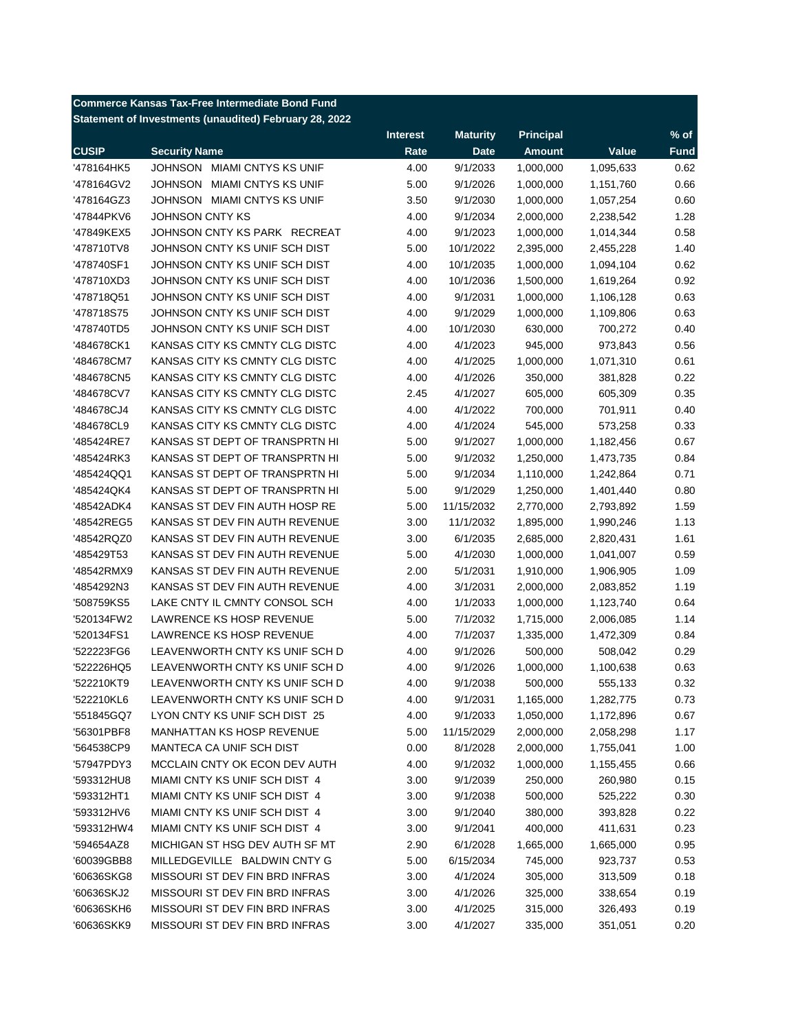|                                                        | <b>Commerce Kansas Tax-Free Intermediate Bond Fund</b> |                 |                 |                  |           |             |  |
|--------------------------------------------------------|--------------------------------------------------------|-----------------|-----------------|------------------|-----------|-------------|--|
| Statement of Investments (unaudited) February 28, 2022 |                                                        |                 |                 |                  |           |             |  |
|                                                        |                                                        | <b>Interest</b> | <b>Maturity</b> | <b>Principal</b> |           | $%$ of      |  |
| <b>CUSIP</b>                                           | <b>Security Name</b>                                   | Rate            | <b>Date</b>     | <b>Amount</b>    | Value     | <b>Fund</b> |  |
| '478164HK5                                             | JOHNSON MIAMI CNTYS KS UNIF                            | 4.00            | 9/1/2033        | 1,000,000        | 1,095,633 | 0.62        |  |
| '478164GV2                                             | JOHNSON MIAMI CNTYS KS UNIF                            | 5.00            | 9/1/2026        | 1,000,000        | 1,151,760 | 0.66        |  |
| '478164GZ3                                             | JOHNSON MIAMI CNTYS KS UNIF                            | 3.50            | 9/1/2030        | 1,000,000        | 1,057,254 | 0.60        |  |
| '47844PKV6                                             | JOHNSON CNTY KS                                        | 4.00            | 9/1/2034        | 2,000,000        | 2,238,542 | 1.28        |  |
| '47849KEX5                                             | JOHNSON CNTY KS PARK RECREAT                           | 4.00            | 9/1/2023        | 1,000,000        | 1,014,344 | 0.58        |  |
| '478710TV8                                             | JOHNSON CNTY KS UNIF SCH DIST                          | 5.00            | 10/1/2022       | 2,395,000        | 2,455,228 | 1.40        |  |
| '478740SF1                                             | JOHNSON CNTY KS UNIF SCH DIST                          | 4.00            | 10/1/2035       | 1,000,000        | 1,094,104 | 0.62        |  |
| '478710XD3                                             | JOHNSON CNTY KS UNIF SCH DIST                          | 4.00            | 10/1/2036       | 1,500,000        | 1,619,264 | 0.92        |  |
| '478718Q51                                             | JOHNSON CNTY KS UNIF SCH DIST                          | 4.00            | 9/1/2031        | 1,000,000        | 1,106,128 | 0.63        |  |
| '478718S75                                             | JOHNSON CNTY KS UNIF SCH DIST                          | 4.00            | 9/1/2029        | 1,000,000        | 1,109,806 | 0.63        |  |
| '478740TD5                                             | JOHNSON CNTY KS UNIF SCH DIST                          | 4.00            | 10/1/2030       | 630,000          | 700,272   | 0.40        |  |
| '484678CK1                                             | KANSAS CITY KS CMNTY CLG DISTC                         | 4.00            | 4/1/2023        | 945,000          | 973,843   | 0.56        |  |
| '484678CM7                                             | KANSAS CITY KS CMNTY CLG DISTC                         | 4.00            | 4/1/2025        | 1,000,000        | 1,071,310 | 0.61        |  |
| '484678CN5                                             | KANSAS CITY KS CMNTY CLG DISTC                         | 4.00            | 4/1/2026        | 350,000          | 381,828   | 0.22        |  |
| '484678CV7                                             | KANSAS CITY KS CMNTY CLG DISTC                         | 2.45            | 4/1/2027        | 605,000          | 605,309   | 0.35        |  |
| '484678CJ4                                             | KANSAS CITY KS CMNTY CLG DISTC                         | 4.00            | 4/1/2022        | 700,000          | 701,911   | 0.40        |  |
| '484678CL9                                             | KANSAS CITY KS CMNTY CLG DISTC                         | 4.00            | 4/1/2024        | 545,000          | 573,258   | 0.33        |  |
| '485424RE7                                             | KANSAS ST DEPT OF TRANSPRTN HI                         | 5.00            | 9/1/2027        | 1,000,000        | 1,182,456 | 0.67        |  |
| '485424RK3                                             | KANSAS ST DEPT OF TRANSPRTN HI                         | 5.00            | 9/1/2032        | 1,250,000        | 1,473,735 | 0.84        |  |
| '485424QQ1                                             | KANSAS ST DEPT OF TRANSPRTN HI                         | 5.00            | 9/1/2034        | 1,110,000        | 1,242,864 | 0.71        |  |
| '485424QK4                                             | KANSAS ST DEPT OF TRANSPRTN HI                         | 5.00            | 9/1/2029        | 1,250,000        | 1,401,440 | 0.80        |  |
| '48542ADK4                                             | KANSAS ST DEV FIN AUTH HOSP RE                         | 5.00            | 11/15/2032      | 2,770,000        | 2,793,892 | 1.59        |  |
| '48542REG5                                             | KANSAS ST DEV FIN AUTH REVENUE                         | 3.00            | 11/1/2032       | 1,895,000        | 1,990,246 | 1.13        |  |
| '48542RQZ0                                             | KANSAS ST DEV FIN AUTH REVENUE                         | 3.00            | 6/1/2035        | 2,685,000        | 2,820,431 | 1.61        |  |
| '485429T53                                             | KANSAS ST DEV FIN AUTH REVENUE                         | 5.00            | 4/1/2030        | 1,000,000        | 1,041,007 | 0.59        |  |
| '48542RMX9                                             | KANSAS ST DEV FIN AUTH REVENUE                         | 2.00            | 5/1/2031        | 1,910,000        | 1,906,905 | 1.09        |  |
| '4854292N3                                             | KANSAS ST DEV FIN AUTH REVENUE                         | 4.00            | 3/1/2031        | 2,000,000        | 2,083,852 | 1.19        |  |
| '508759KS5                                             | LAKE CNTY IL CMNTY CONSOL SCH                          | 4.00            | 1/1/2033        | 1,000,000        | 1,123,740 | 0.64        |  |
| '520134FW2                                             | LAWRENCE KS HOSP REVENUE                               | 5.00            | 7/1/2032        | 1,715,000        | 2,006,085 | 1.14        |  |
| '520134FS1                                             | <b>LAWRENCE KS HOSP REVENUE</b>                        | 4.00            | 7/1/2037        | 1,335,000        | 1,472,309 | 0.84        |  |
| '522223FG6                                             | LEAVENWORTH CNTY KS UNIF SCH D                         | 4.00            | 9/1/2026        | 500,000          | 508,042   | 0.29        |  |
| '522226HQ5                                             | LEAVENWORTH CNTY KS UNIF SCH D                         | 4.00            | 9/1/2026        | 1,000,000        | 1,100,638 | 0.63        |  |
| '522210KT9                                             | LEAVENWORTH CNTY KS UNIF SCH D                         | 4.00            | 9/1/2038        | 500,000          | 555,133   | 0.32        |  |
| '522210KL6                                             | LEAVENWORTH CNTY KS UNIF SCH D                         | 4.00            | 9/1/2031        | 1,165,000        | 1,282,775 | 0.73        |  |
| '551845GQ7                                             | LYON CNTY KS UNIF SCH DIST 25                          | 4.00            | 9/1/2033        | 1,050,000        | 1,172,896 | 0.67        |  |
| '56301PBF8                                             | <b>MANHATTAN KS HOSP REVENUE</b>                       | 5.00            | 11/15/2029      | 2,000,000        | 2,058,298 | 1.17        |  |
| '564538CP9                                             | MANTECA CA UNIF SCH DIST                               | 0.00            | 8/1/2028        | 2,000,000        | 1,755,041 | 1.00        |  |
| '57947PDY3                                             | MCCLAIN CNTY OK ECON DEV AUTH                          | 4.00            | 9/1/2032        | 1,000,000        | 1,155,455 | 0.66        |  |
| '593312HU8                                             | MIAMI CNTY KS UNIF SCH DIST 4                          | 3.00            | 9/1/2039        | 250,000          | 260,980   | 0.15        |  |
| '593312HT1                                             | MIAMI CNTY KS UNIF SCH DIST 4                          | 3.00            | 9/1/2038        | 500,000          | 525,222   | 0.30        |  |
| '593312HV6                                             | MIAMI CNTY KS UNIF SCH DIST 4                          | 3.00            | 9/1/2040        | 380,000          | 393,828   | 0.22        |  |
| '593312HW4                                             | MIAMI CNTY KS UNIF SCH DIST 4                          | 3.00            | 9/1/2041        | 400,000          | 411,631   | 0.23        |  |
| '594654AZ8                                             | MICHIGAN ST HSG DEV AUTH SF MT                         | 2.90            | 6/1/2028        | 1,665,000        | 1,665,000 | 0.95        |  |
| '60039GBB8                                             | MILLEDGEVILLE BALDWIN CNTY G                           | 5.00            | 6/15/2034       | 745,000          | 923,737   | 0.53        |  |
| '60636SKG8                                             | MISSOURI ST DEV FIN BRD INFRAS                         | 3.00            | 4/1/2024        | 305,000          | 313,509   | 0.18        |  |
| '60636SKJ2                                             | MISSOURI ST DEV FIN BRD INFRAS                         | 3.00            | 4/1/2026        | 325,000          | 338,654   | 0.19        |  |
| '60636SKH6                                             | MISSOURI ST DEV FIN BRD INFRAS                         | 3.00            | 4/1/2025        | 315,000          | 326,493   | 0.19        |  |
| '60636SKK9                                             | MISSOURI ST DEV FIN BRD INFRAS                         | 3.00            | 4/1/2027        | 335,000          | 351,051   | 0.20        |  |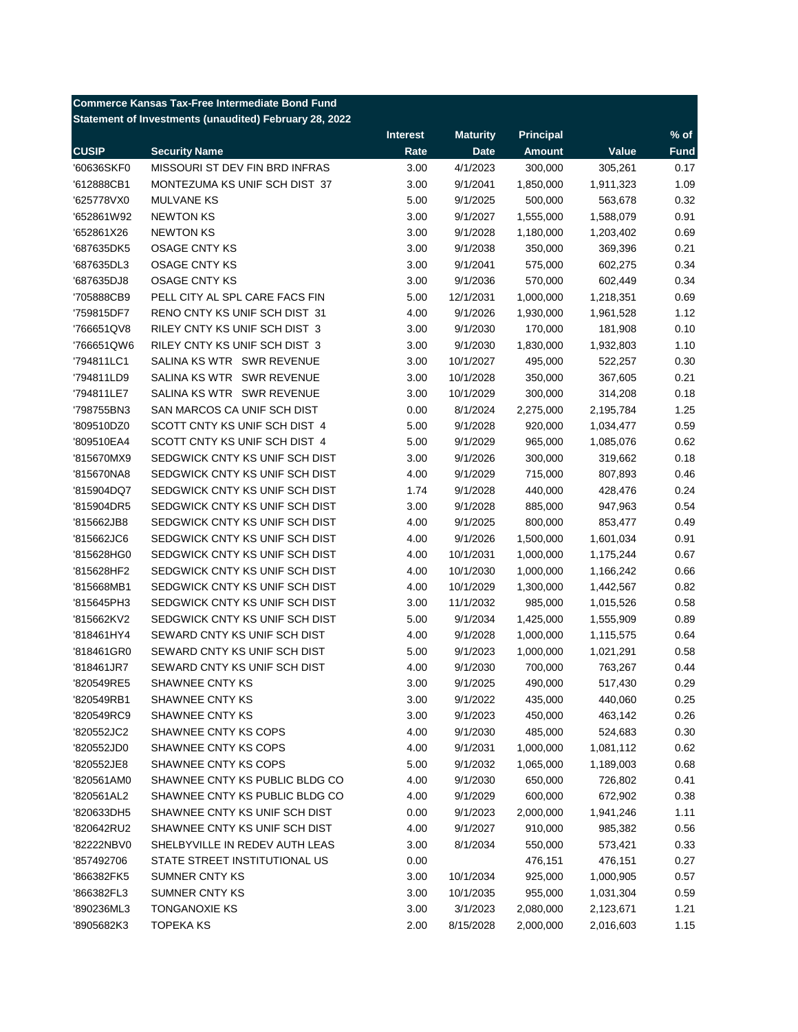|                                                        | <b>Commerce Kansas Tax-Free Intermediate Bond Fund</b> |                 |                 |               |           |             |  |  |
|--------------------------------------------------------|--------------------------------------------------------|-----------------|-----------------|---------------|-----------|-------------|--|--|
| Statement of Investments (unaudited) February 28, 2022 |                                                        |                 |                 |               |           |             |  |  |
|                                                        |                                                        | <b>Interest</b> | <b>Maturity</b> | Principal     |           | $%$ of      |  |  |
| <b>CUSIP</b>                                           | <b>Security Name</b>                                   | Rate            | <b>Date</b>     | <b>Amount</b> | Value     | <b>Fund</b> |  |  |
| '60636SKF0                                             | MISSOURI ST DEV FIN BRD INFRAS                         | 3.00            | 4/1/2023        | 300,000       | 305,261   | 0.17        |  |  |
| '612888CB1                                             | MONTEZUMA KS UNIF SCH DIST 37                          | 3.00            | 9/1/2041        | 1,850,000     | 1,911,323 | 1.09        |  |  |
| '625778VX0                                             | <b>MULVANE KS</b>                                      | 5.00            | 9/1/2025        | 500,000       | 563,678   | 0.32        |  |  |
| '652861W92                                             | <b>NEWTON KS</b>                                       | 3.00            | 9/1/2027        | 1,555,000     | 1,588,079 | 0.91        |  |  |
| '652861X26                                             | <b>NEWTON KS</b>                                       | 3.00            | 9/1/2028        | 1,180,000     | 1,203,402 | 0.69        |  |  |
| '687635DK5                                             | <b>OSAGE CNTY KS</b>                                   | 3.00            | 9/1/2038        | 350,000       | 369,396   | 0.21        |  |  |
| '687635DL3                                             | <b>OSAGE CNTY KS</b>                                   | 3.00            | 9/1/2041        | 575,000       | 602,275   | 0.34        |  |  |
| '687635DJ8                                             | <b>OSAGE CNTY KS</b>                                   | 3.00            | 9/1/2036        | 570,000       | 602,449   | 0.34        |  |  |
| '705888CB9                                             | PELL CITY AL SPL CARE FACS FIN                         | 5.00            | 12/1/2031       | 1,000,000     | 1,218,351 | 0.69        |  |  |
| '759815DF7                                             | RENO CNTY KS UNIF SCH DIST 31                          | 4.00            | 9/1/2026        | 1,930,000     | 1,961,528 | 1.12        |  |  |
| '766651QV8                                             | RILEY CNTY KS UNIF SCH DIST 3                          | 3.00            | 9/1/2030        | 170,000       | 181,908   | 0.10        |  |  |
| 766651QW6                                              | RILEY CNTY KS UNIF SCH DIST 3                          | 3.00            | 9/1/2030        | 1,830,000     | 1,932,803 | 1.10        |  |  |
| '794811LC1                                             | SALINA KS WTR SWR REVENUE                              | 3.00            | 10/1/2027       | 495,000       | 522,257   | 0.30        |  |  |
| '794811LD9                                             | SALINA KS WTR SWR REVENUE                              | 3.00            | 10/1/2028       | 350,000       | 367,605   | 0.21        |  |  |
| '794811LE7                                             | SALINA KS WTR SWR REVENUE                              | 3.00            | 10/1/2029       | 300,000       | 314,208   | 0.18        |  |  |
| '798755BN3                                             | SAN MARCOS CA UNIF SCH DIST                            | 0.00            | 8/1/2024        | 2,275,000     | 2,195,784 | 1.25        |  |  |
| '809510DZ0                                             | SCOTT CNTY KS UNIF SCH DIST 4                          | 5.00            | 9/1/2028        | 920,000       | 1,034,477 | 0.59        |  |  |
| '809510EA4                                             | SCOTT CNTY KS UNIF SCH DIST 4                          | 5.00            | 9/1/2029        | 965,000       | 1,085,076 | 0.62        |  |  |
| '815670MX9                                             | SEDGWICK CNTY KS UNIF SCH DIST                         | 3.00            | 9/1/2026        | 300,000       | 319,662   | 0.18        |  |  |
| '815670NA8                                             | SEDGWICK CNTY KS UNIF SCH DIST                         | 4.00            | 9/1/2029        | 715,000       | 807,893   | 0.46        |  |  |
| '815904DQ7                                             | SEDGWICK CNTY KS UNIF SCH DIST                         | 1.74            | 9/1/2028        | 440,000       | 428,476   | 0.24        |  |  |
| '815904DR5                                             | SEDGWICK CNTY KS UNIF SCH DIST                         | 3.00            | 9/1/2028        | 885,000       | 947,963   | 0.54        |  |  |
| '815662JB8                                             | SEDGWICK CNTY KS UNIF SCH DIST                         | 4.00            | 9/1/2025        | 800,000       | 853,477   | 0.49        |  |  |
| '815662JC6                                             | SEDGWICK CNTY KS UNIF SCH DIST                         | 4.00            | 9/1/2026        | 1,500,000     | 1,601,034 | 0.91        |  |  |
| '815628HG0                                             | SEDGWICK CNTY KS UNIF SCH DIST                         | 4.00            | 10/1/2031       | 1,000,000     | 1,175,244 | 0.67        |  |  |
| '815628HF2                                             | SEDGWICK CNTY KS UNIF SCH DIST                         | 4.00            | 10/1/2030       | 1,000,000     | 1,166,242 | 0.66        |  |  |
| '815668MB1                                             | SEDGWICK CNTY KS UNIF SCH DIST                         | 4.00            | 10/1/2029       | 1,300,000     | 1,442,567 | 0.82        |  |  |
| '815645PH3                                             | SEDGWICK CNTY KS UNIF SCH DIST                         | 3.00            | 11/1/2032       | 985,000       | 1,015,526 | 0.58        |  |  |
| '815662KV2                                             | SEDGWICK CNTY KS UNIF SCH DIST                         | 5.00            | 9/1/2034        | 1,425,000     | 1,555,909 | 0.89        |  |  |
| '818461HY4                                             | SEWARD CNTY KS UNIF SCH DIST                           | 4.00            | 9/1/2028        | 1,000,000     | 1,115,575 | 0.64        |  |  |
| '818461GR0                                             | SEWARD CNTY KS UNIF SCH DIST                           | 5.00            | 9/1/2023        | 1,000,000     | 1,021,291 | 0.58        |  |  |
| '818461JR7                                             | SEWARD CNTY KS UNIF SCH DIST                           | 4.00            | 9/1/2030        | 700,000       | 763,267   | 0.44        |  |  |
| '820549RE5                                             | SHAWNEE CNTY KS                                        | 3.00            | 9/1/2025        | 490,000       | 517,430   | 0.29        |  |  |
| '820549RB1                                             | SHAWNEE CNTY KS                                        | 3.00            | 9/1/2022        | 435,000       | 440,060   | 0.25        |  |  |
| '820549RC9                                             | SHAWNEE CNTY KS                                        | 3.00            | 9/1/2023        | 450,000       | 463,142   | 0.26        |  |  |
| '820552JC2                                             | SHAWNEE CNTY KS COPS                                   | 4.00            | 9/1/2030        | 485,000       | 524,683   | 0.30        |  |  |
| '820552JD0                                             | SHAWNEE CNTY KS COPS                                   | 4.00            | 9/1/2031        | 1,000,000     | 1,081,112 | 0.62        |  |  |
| '820552JE8                                             | SHAWNEE CNTY KS COPS                                   | 5.00            | 9/1/2032        | 1,065,000     | 1,189,003 | 0.68        |  |  |
| '820561AM0                                             | SHAWNEE CNTY KS PUBLIC BLDG CO                         | 4.00            | 9/1/2030        | 650,000       | 726,802   | 0.41        |  |  |
| '820561AL2                                             | SHAWNEE CNTY KS PUBLIC BLDG CO                         | 4.00            | 9/1/2029        | 600,000       | 672,902   | 0.38        |  |  |
| '820633DH5                                             | SHAWNEE CNTY KS UNIF SCH DIST                          | 0.00            | 9/1/2023        | 2,000,000     | 1,941,246 | 1.11        |  |  |
| '820642RU2                                             | SHAWNEE CNTY KS UNIF SCH DIST                          | 4.00            | 9/1/2027        | 910,000       | 985,382   | 0.56        |  |  |
| '82222NBV0                                             | SHELBYVILLE IN REDEV AUTH LEAS                         | 3.00            | 8/1/2034        | 550,000       | 573,421   | 0.33        |  |  |
| '857492706                                             | STATE STREET INSTITUTIONAL US                          | 0.00            |                 | 476,151       | 476,151   | 0.27        |  |  |
| '866382FK5                                             | SUMNER CNTY KS                                         | 3.00            | 10/1/2034       | 925,000       | 1,000,905 | 0.57        |  |  |
| '866382FL3                                             | <b>SUMNER CNTY KS</b>                                  | 3.00            | 10/1/2035       | 955,000       | 1,031,304 | 0.59        |  |  |
| '890236ML3                                             | <b>TONGANOXIE KS</b>                                   | 3.00            | 3/1/2023        | 2,080,000     | 2,123,671 | 1.21        |  |  |
| '8905682K3                                             | <b>TOPEKA KS</b>                                       | 2.00            | 8/15/2028       | 2,000,000     | 2,016,603 | 1.15        |  |  |